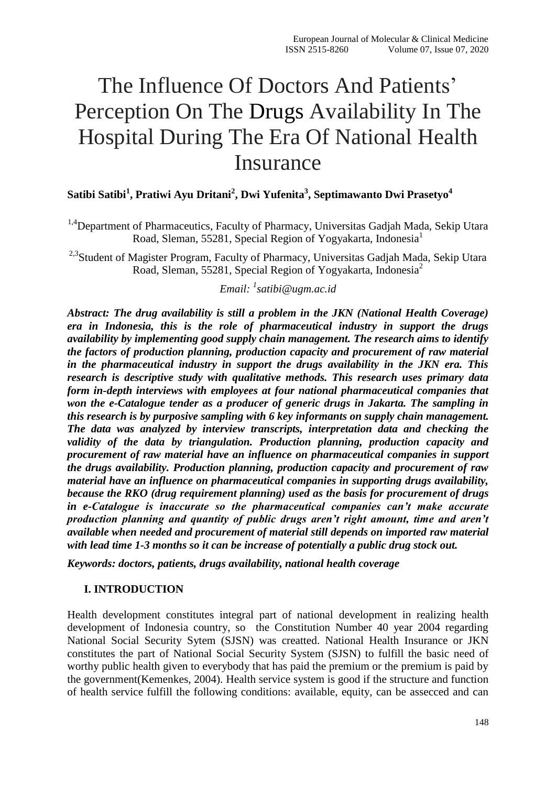# The Influence Of Doctors And Patients' Perception On The Drugs Availability In The Hospital During The Era Of National Health Insurance

# **Satibi Satibi<sup>1</sup> , Pratiwi Ayu Dritani<sup>2</sup> , Dwi Yufenita<sup>3</sup> , Septimawanto Dwi Prasetyo<sup>4</sup>**

<sup>1,4</sup>Department of Pharmaceutics, Faculty of Pharmacy, Universitas Gadjah Mada, Sekip Utara Road, Sleman, 55281, Special Region of Yogyakarta, Indonesia<sup>1</sup>

<sup>2,3</sup>Student of Magister Program, Faculty of Pharmacy, Universitas Gadjah Mada, Sekip Utara Road, Sleman, 55281, Special Region of Yogyakarta, Indonesia<sup>2</sup>

# *Email: <sup>1</sup> [satibi@ugm.ac.id](mailto:satibi@ugm.ac.id)*

*Abstract: The drug availability is still a problem in the JKN (National Health Coverage) era in Indonesia, this is the role of pharmaceutical industry in support the drugs availability by implementing good supply chain management. The research aims to identify the factors of production planning, production capacity and procurement of raw material in the pharmaceutical industry in support the drugs availability in the JKN era. This research is descriptive study with qualitative methods. This research uses primary data form in-depth interviews with employees at four national pharmaceutical companies that won the e-Catalogue tender as a producer of generic drugs in Jakarta. The sampling in this research is by purposive sampling with 6 key informants on supply chain management. The data was analyzed by interview transcripts, interpretation data and checking the validity of the data by triangulation. Production planning, production capacity and procurement of raw material have an influence on pharmaceutical companies in support the drugs availability. Production planning, production capacity and procurement of raw material have an influence on pharmaceutical companies in supporting drugs availability, because the RKO (drug requirement planning) used as the basis for procurement of drugs in e-Catalogue is inaccurate so the pharmaceutical companies can't make accurate production planning and quantity of public drugs aren't right amount, time and aren't available when needed and procurement of material still depends on imported raw material with lead time 1-3 months so it can be increase of potentially a public drug stock out.*

*Keywords: doctors, patients, drugs availability, national health coverage*

#### **I. INTRODUCTION**

Health development constitutes integral part of national development in realizing health development of Indonesia country, so the Constitution Number 40 year 2004 regarding National Social Security Sytem (SJSN) was creatted. National Health Insurance or JKN constitutes the part of National Social Security System (SJSN) to fulfill the basic need of worthy public health given to everybody that has paid the premium or the premium is paid by the government(Kemenkes, 2004). Health service system is good if the structure and function of health service fulfill the following conditions: available, equity, can be assecced and can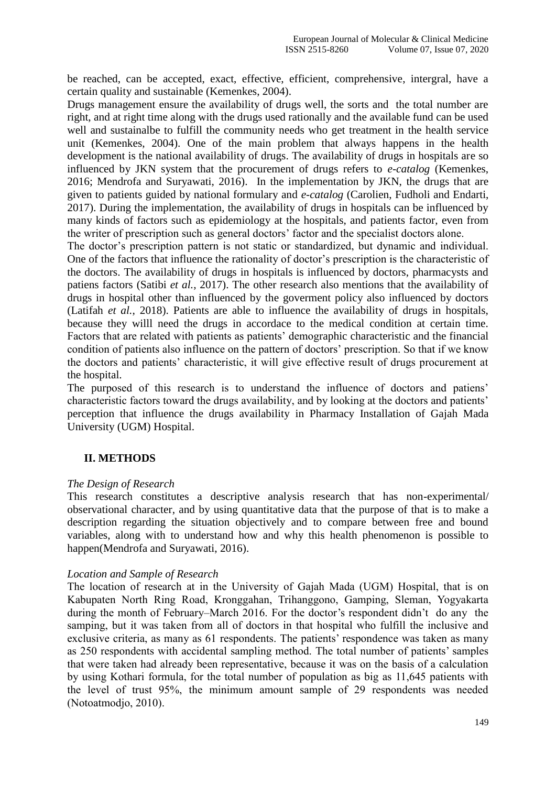be reached, can be accepted, exact, effective, efficient, comprehensive, intergral, have a certain quality and sustainable (Kemenkes, 2004).

Drugs management ensure the availability of drugs well, the sorts and the total number are right, and at right time along with the drugs used rationally and the available fund can be used well and sustainalbe to fulfill the community needs who get treatment in the health service unit (Kemenkes, 2004). One of the main problem that always happens in the health development is the national availability of drugs. The availability of drugs in hospitals are so influenced by JKN system that the procurement of drugs refers to *e-catalog* (Kemenkes, 2016; Mendrofa and Suryawati, 2016). In the implementation by JKN, the drugs that are given to patients guided by national formulary and *e-catalog* (Carolien, Fudholi and Endarti, 2017). During the implementation, the availability of drugs in hospitals can be influenced by many kinds of factors such as epidemiology at the hospitals, and patients factor, even from the writer of prescription such as general doctors' factor and the specialist doctors alone.

The doctor's prescription pattern is not static or standardized, but dynamic and individual. One of the factors that influence the rationality of doctor's prescription is the characteristic of the doctors. The availability of drugs in hospitals is influenced by doctors, pharmacysts and patiens factors (Satibi *et al.*, 2017). The other research also mentions that the availability of drugs in hospital other than influenced by the goverment policy also influenced by doctors (Latifah *et al.*, 2018). Patients are able to influence the availability of drugs in hospitals, because they willl need the drugs in accordace to the medical condition at certain time. Factors that are related with patients as patients' demographic characteristic and the financial condition of patients also influence on the pattern of doctors' prescription. So that if we know the doctors and patients' characteristic, it will give effective result of drugs procurement at the hospital.

The purposed of this research is to understand the influence of doctors and patiens' characteristic factors toward the drugs availability, and by looking at the doctors and patients' perception that influence the drugs availability in Pharmacy Installation of Gajah Mada University (UGM) Hospital.

#### **II. METHODS**

#### *The Design of Research*

This research constitutes a descriptive analysis research that has non-experimental/ observational character, and by using quantitative data that the purpose of that is to make a description regarding the situation objectively and to compare between free and bound variables, along with to understand how and why this health phenomenon is possible to happen(Mendrofa and Suryawati, 2016).

#### *Location and Sample of Research*

The location of research at in the University of Gajah Mada (UGM) Hospital, that is on Kabupaten North Ring Road, Kronggahan, Trihanggono, Gamping, Sleman, Yogyakarta during the month of February–March 2016. For the doctor's respondent didn't do any the samping, but it was taken from all of doctors in that hospital who fulfill the inclusive and exclusive criteria, as many as 61 respondents. The patients' respondence was taken as many as 250 respondents with accidental sampling method. The total number of patients' samples that were taken had already been representative, because it was on the basis of a calculation by using Kothari formula, for the total number of population as big as 11,645 patients with the level of trust 95%, the minimum amount sample of 29 respondents was needed (Notoatmodjo, 2010).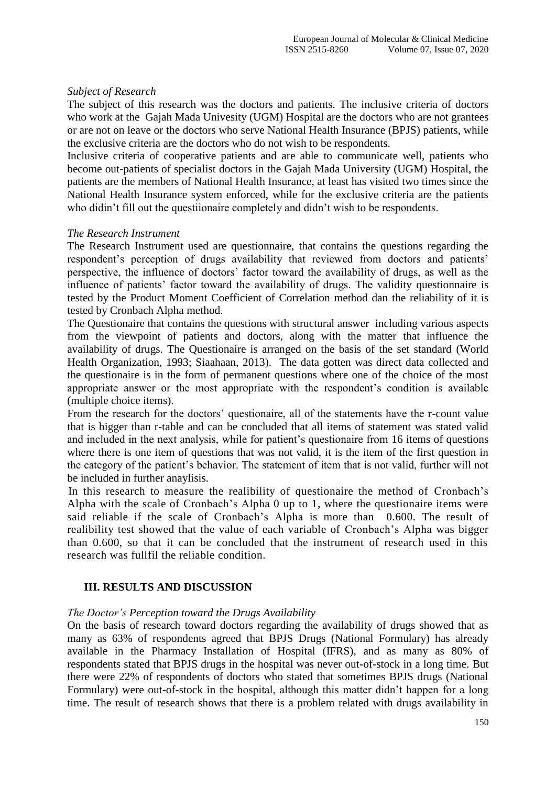#### *Subject of Research*

The subject of this research was the doctors and patients. The inclusive criteria of doctors who work at the Gajah Mada Univesity (UGM) Hospital are the doctors who are not grantees or are not on leave or the doctors who serve National Health Insurance (BPJS) patients, while the exclusive criteria are the doctors who do not wish to be respondents.

Inclusive criteria of cooperative patients and are able to communicate well, patients who become out-patients of specialist doctors in the Gajah Mada University (UGM) Hospital, the patients are the members of National Health Insurance, at least has visited two times since the National Health Insurance system enforced, while for the exclusive criteria are the patients who didin't fill out the questiionaire completely and didn't wish to be respondents.

#### *The Research Instrument*

The Research Instrument used are questionnaire, that contains the questions regarding the respondent's perception of drugs availability that reviewed from doctors and patients' perspective, the influence of doctors' factor toward the availability of drugs, as well as the influence of patients' factor toward the availability of drugs. The validity questionnaire is tested by the Product Moment Coefficient of Correlation method dan the reliability of it is tested by Cronbach Alpha method.

The Questionaire that contains the questions with structural answer including various aspects from the viewpoint of patients and doctors, along with the matter that influence the availability of drugs. The Questionaire is arranged on the basis of the set standard (World Health Organization, 1993; Siaahaan, 2013). The data gotten was direct data collected and the questionaire is in the form of permanent questions where one of the choice of the most appropriate answer or the most appropriate with the respondent's condition is available (multiple choice items).

From the research for the doctors' questionaire, all of the statements have the r-count value that is bigger than r-table and can be concluded that all items of statement was stated valid and included in the next analysis, while for patient's questionaire from 16 items of questions where there is one item of questions that was not valid, it is the item of the first question in the category of the patient's behavior. The statement of item that is not valid, further will not be included in further anaylisis.

In this research to measure the realibility of questionaire the method of Cronbach's Alpha with the scale of Cronbach's Alpha 0 up to 1, where the questionaire items were said reliable if the scale of Cronbach's Alpha is more than 0.600. The result of realibility test showed that the value of each variable of Cronbach's Alpha was bigger than 0.600, so that it can be concluded that the instrument of research used in this research was fullfil the reliable condition.

## **III. RESULTS AND DISCUSSION**

## *The Doctor's Perception toward the Drugs Availability*

On the basis of research toward doctors regarding the availability of drugs showed that as many as 63% of respondents agreed that BPJS Drugs (National Formulary) has already available in the Pharmacy Installation of Hospital (IFRS), and as many as 80% of respondents stated that BPJS drugs in the hospital was never out-of-stock in a long time. But there were 22% of respondents of doctors who stated that sometimes BPJS drugs (National Formulary) were out-of-stock in the hospital, although this matter didn't happen for a long time. The result of research shows that there is a problem related with drugs availability in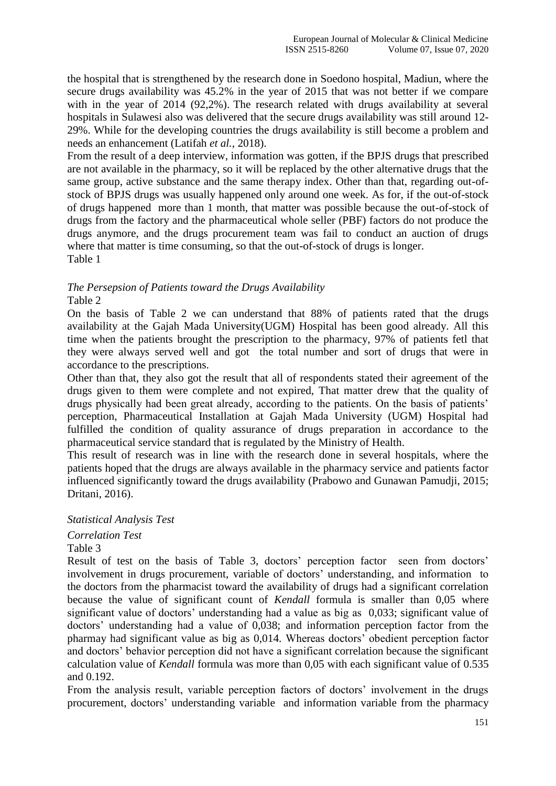the hospital that is strengthened by the research done in Soedono hospital, Madiun, where the secure drugs availability was 45.2% in the year of 2015 that was not better if we compare with in the year of 2014 (92,2%). The research related with drugs availability at several hospitals in Sulawesi also was delivered that the secure drugs availability was still around 12- 29%. While for the developing countries the drugs availability is still become a problem and needs an enhancement (Latifah *et al.*, 2018).

From the result of a deep interview, information was gotten, if the BPJS drugs that prescribed are not available in the pharmacy, so it will be replaced by the other alternative drugs that the same group, active substance and the same therapy index. Other than that, regarding out-ofstock of BPJS drugs was usually happened only around one week. As for, if the out-of-stock of drugs happened more than 1 month, that matter was possible because the out-of-stock of drugs from the factory and the pharmaceutical whole seller (PBF) factors do not produce the drugs anymore, and the drugs procurement team was fail to conduct an auction of drugs where that matter is time consuming, so that the out-of-stock of drugs is longer. Table 1

## *The Persepsion of Patients toward the Drugs Availability* Table 2

On the basis of Table 2 we can understand that 88% of patients rated that the drugs availability at the Gajah Mada University(UGM) Hospital has been good already. All this time when the patients brought the prescription to the pharmacy, 97% of patients fetl that they were always served well and got the total number and sort of drugs that were in accordance to the prescriptions.

Other than that, they also got the result that all of respondents stated their agreement of the drugs given to them were complete and not expired, That matter drew that the quality of drugs physically had been great already, according to the patients. On the basis of patients' perception, Pharmaceutical Installation at Gajah Mada University (UGM) Hospital had fulfilled the condition of quality assurance of drugs preparation in accordance to the pharmaceutical service standard that is regulated by the Ministry of Health.

This result of research was in line with the research done in several hospitals, where the patients hoped that the drugs are always available in the pharmacy service and patients factor influenced significantly toward the drugs availability (Prabowo and Gunawan Pamudji, 2015; Dritani, 2016).

## *Statistical Analysis Test*

*Correlation Test*

Table 3

Result of test on the basis of Table 3, doctors' perception factor seen from doctors' involvement in drugs procurement, variable of doctors' understanding, and information to the doctors from the pharmacist toward the availability of drugs had a significant correlation because the value of significant count of *Kendall* formula is smaller than 0,05 where significant value of doctors' understanding had a value as big as 0,033; significant value of doctors' understanding had a value of 0,038; and information perception factor from the pharmay had significant value as big as 0,014. Whereas doctors' obedient perception factor and doctors' behavior perception did not have a significant correlation because the significant calculation value of *Kendall* formula was more than 0,05 with each significant value of 0.535 and 0.192.

From the analysis result, variable perception factors of doctors' involvement in the drugs procurement, doctors' understanding variable and information variable from the pharmacy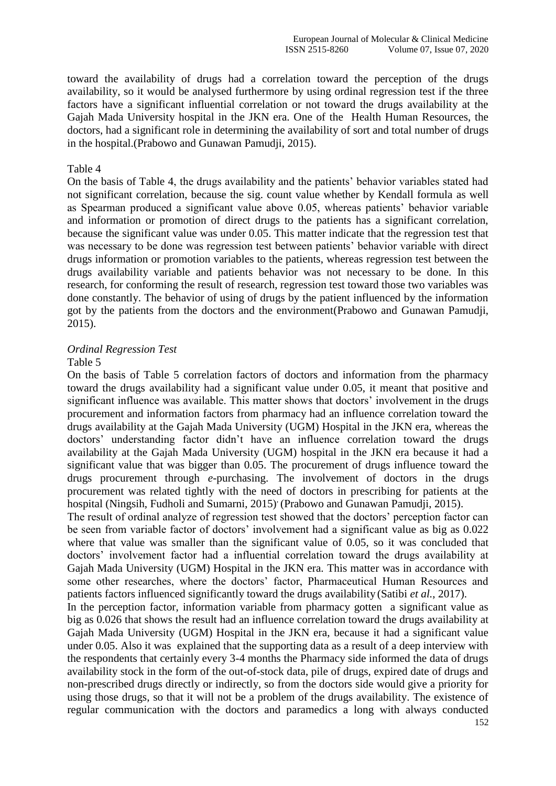toward the availability of drugs had a correlation toward the perception of the drugs availability, so it would be analysed furthermore by using ordinal regression test if the three factors have a significant influential correlation or not toward the drugs availability at the Gajah Mada University hospital in the JKN era. One of the Health Human Resources, the doctors, had a significant role in determining the availability of sort and total number of drugs in the hospital.(Prabowo and Gunawan Pamudji, 2015).

#### Table 4

On the basis of Table 4, the drugs availability and the patients' behavior variables stated had not significant correlation, because the sig. count value whether by Kendall formula as well as Spearman produced a significant value above 0.05, whereas patients' behavior variable and information or promotion of direct drugs to the patients has a significant correlation, because the significant value was under 0.05. This matter indicate that the regression test that was necessary to be done was regression test between patients' behavior variable with direct drugs information or promotion variables to the patients, whereas regression test between the drugs availability variable and patients behavior was not necessary to be done. In this research, for conforming the result of research, regression test toward those two variables was done constantly. The behavior of using of drugs by the patient influenced by the information got by the patients from the doctors and the environment(Prabowo and Gunawan Pamudji, 2015).

#### *Ordinal Regression Test*

#### Table 5

On the basis of Table 5 correlation factors of doctors and information from the pharmacy toward the drugs availability had a significant value under 0.05, it meant that positive and significant influence was available. This matter shows that doctors' involvement in the drugs procurement and information factors from pharmacy had an influence correlation toward the drugs availability at the Gajah Mada University (UGM) Hospital in the JKN era, whereas the doctors' understanding factor didn't have an influence correlation toward the drugs availability at the Gajah Mada University (UGM) hospital in the JKN era because it had a significant value that was bigger than 0.05. The procurement of drugs influence toward the drugs procurement through *e*-purchasing. The involvement of doctors in the drugs procurement was related tightly with the need of doctors in prescribing for patients at the hospital (Ningsih, Fudholi and Sumarni, 2015)<sup>,</sup> (Prabowo and Gunawan Pamudji, 2015).

The result of ordinal analyze of regression test showed that the doctors' perception factor can be seen from variable factor of doctors' involvement had a significant value as big as 0.022 where that value was smaller than the significant value of 0.05, so it was concluded that doctors' involvement factor had a influential correlation toward the drugs availability at Gajah Mada University (UGM) Hospital in the JKN era. This matter was in accordance with some other researches, where the doctors' factor, Pharmaceutical Human Resources and patients factors influenced significantly toward the drugs availability (Satibi *et al.*, 2017).

In the perception factor, information variable from pharmacy gotten a significant value as big as 0.026 that shows the result had an influence correlation toward the drugs availability at Gajah Mada University (UGM) Hospital in the JKN era, because it had a significant value under 0.05. Also it was explained that the supporting data as a result of a deep interview with the respondents that certainly every 3-4 months the Pharmacy side informed the data of drugs availability stock in the form of the out-of-stock data, pile of drugs, expired date of drugs and non-prescribed drugs directly or indirectly, so from the doctors side would give a priority for using those drugs, so that it will not be a problem of the drugs availability. The existence of regular communication with the doctors and paramedics a long with always conducted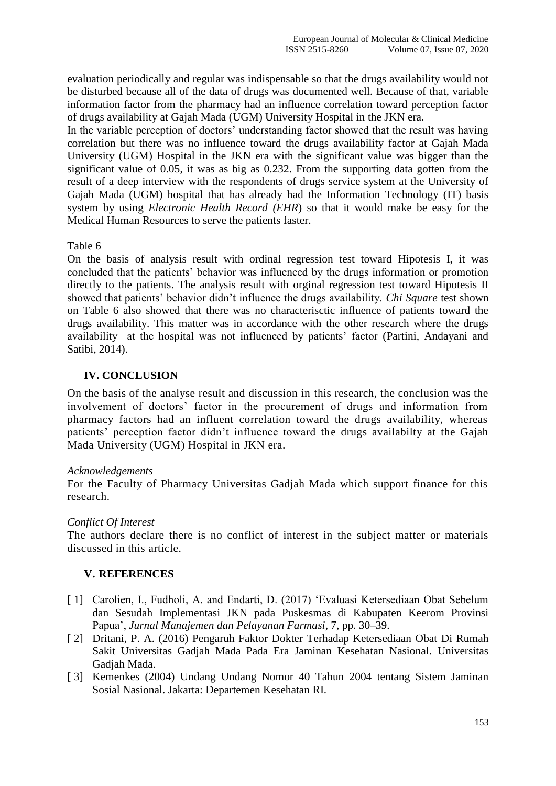evaluation periodically and regular was indispensable so that the drugs availability would not be disturbed because all of the data of drugs was documented well. Because of that, variable information factor from the pharmacy had an influence correlation toward perception factor of drugs availability at Gajah Mada (UGM) University Hospital in the JKN era.

In the variable perception of doctors' understanding factor showed that the result was having correlation but there was no influence toward the drugs availability factor at Gajah Mada University (UGM) Hospital in the JKN era with the significant value was bigger than the significant value of 0.05, it was as big as 0.232. From the supporting data gotten from the result of a deep interview with the respondents of drugs service system at the University of Gajah Mada (UGM) hospital that has already had the Information Technology (IT) basis system by using *Electronic Health Record (EHR*) so that it would make be easy for the Medical Human Resources to serve the patients faster.

Table 6

On the basis of analysis result with ordinal regression test toward Hipotesis I, it was concluded that the patients' behavior was influenced by the drugs information or promotion directly to the patients. The analysis result with orginal regression test toward Hipotesis II showed that patients' behavior didn't influence the drugs availability. *Chi Square* test shown on Table 6 also showed that there was no characterisctic influence of patients toward the drugs availability. This matter was in accordance with the other research where the drugs availability at the hospital was not influenced by patients' factor (Partini, Andayani and Satibi, 2014).

## **IV. CONCLUSION**

On the basis of the analyse result and discussion in this research, the conclusion was the involvement of doctors' factor in the procurement of drugs and information from pharmacy factors had an influent correlation toward the drugs availability, whereas patients' perception factor didn't influence toward the drugs availabilty at the Gajah Mada University (UGM) Hospital in JKN era.

#### *[Acknowledgements](https://elc.polyu.edu.hk/FYP/html/ack.htm)*

For the Faculty of Pharmacy Universitas Gadjah Mada which support finance for this research.

#### *Conflict Of Interest*

The authors declare there is no conflict of interest in the subject matter or materials discussed in this article.

#### **V. REFERENCES**

- [1] Carolien, I., Fudholi, A. and Endarti, D. (2017) 'Evaluasi Ketersediaan Obat Sebelum dan Sesudah Implementasi JKN pada Puskesmas di Kabupaten Keerom Provinsi Papua', *Jurnal Manajemen dan Pelayanan Farmasi*, 7, pp. 30–39.
- [ 2] Dritani, P. A. (2016) Pengaruh Faktor Dokter Terhadap Ketersediaan Obat Di Rumah Sakit Universitas Gadjah Mada Pada Era Jaminan Kesehatan Nasional. Universitas Gadjah Mada.
- [ 3] Kemenkes (2004) Undang Undang Nomor 40 Tahun 2004 tentang Sistem Jaminan Sosial Nasional. Jakarta: Departemen Kesehatan RI.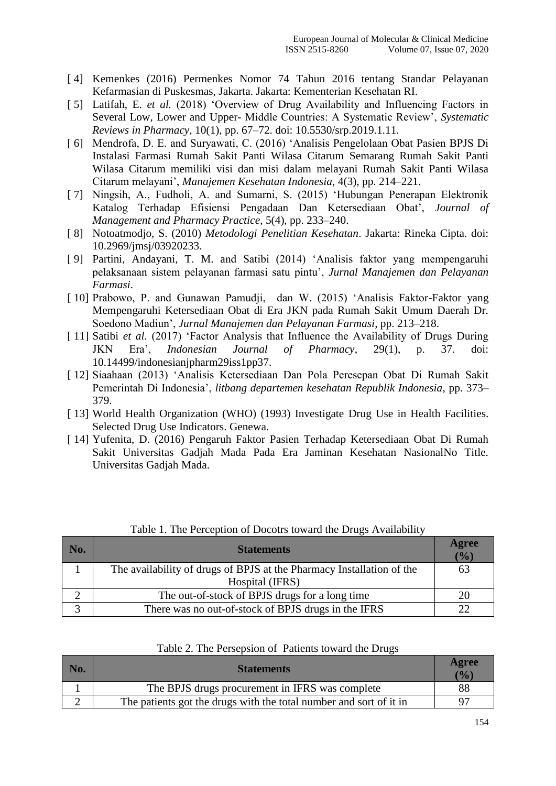- [ 4] Kemenkes (2016) Permenkes Nomor 74 Tahun 2016 tentang Standar Pelayanan Kefarmasian di Puskesmas, Jakarta. Jakarta: Kementerian Kesehatan RI.
- [ 5] Latifah, E. *et al.* (2018) 'Overview of Drug Availability and Influencing Factors in Several Low, Lower and Upper- Middle Countries: A Systematic Review', *Systematic Reviews in Pharmacy*, 10(1), pp. 67–72. doi: 10.5530/srp.2019.1.11.
- [ 6] Mendrofa, D. E. and Suryawati, C. (2016) 'Analisis Pengelolaan Obat Pasien BPJS Di Instalasi Farmasi Rumah Sakit Panti Wilasa Citarum Semarang Rumah Sakit Panti Wilasa Citarum memiliki visi dan misi dalam melayani Rumah Sakit Panti Wilasa Citarum melayani', *Manajemen Kesehatan Indonesia*, 4(3), pp. 214–221.
- [ 7] Ningsih, A., Fudholi, A. and Sumarni, S. (2015) 'Hubungan Penerapan Elektronik Katalog Terhadap Efisiensi Pengadaan Dan Ketersediaan Obat', *Journal of Management and Pharmacy Practice*, 5(4), pp. 233–240.
- [ 8] Notoatmodjo, S. (2010) *Metodologi Penelitian Kesehatan*. Jakarta: Rineka Cipta. doi: 10.2969/jmsj/03920233.
- [ 9] Partini, Andayani, T. M. and Satibi (2014) 'Analisis faktor yang mempengaruhi pelaksanaan sistem pelayanan farmasi satu pintu', *Jurnal Manajemen dan Pelayanan Farmasi*.
- [ 10] Prabowo, P. and Gunawan Pamudji, dan W. (2015) 'Analisis Faktor-Faktor yang Mempengaruhi Ketersediaan Obat di Era JKN pada Rumah Sakit Umum Daerah Dr. Soedono Madiun', *Jurnal Manajemen dan Pelayanan Farmasi*, pp. 213–218.
- [ 11] Satibi *et al.* (2017) 'Factor Analysis that Influence the Availability of Drugs During JKN Era', *Indonesian Journal of Pharmacy*, 29(1), p. 37. doi: 10.14499/indonesianjpharm29iss1pp37.
- [ 12] Siaahaan (2013) 'Analisis Ketersediaan Dan Pola Peresepan Obat Di Rumah Sakit Pemerintah Di Indonesia', *litbang departemen kesehatan Republik Indonesia*, pp. 373– 379.
- [ 13] World Health Organization (WHO) (1993) Investigate Drug Use in Health Facilities. Selected Drug Use Indicators. Genewa.
- [ 14] Yufenita, D. (2016) Pengaruh Faktor Pasien Terhadap Ketersediaan Obat Di Rumah Sakit Universitas Gadjah Mada Pada Era Jaminan Kesehatan NasionalNo Title. Universitas Gadjah Mada.

| No. | <b>Statements</b>                                                     |    |  |  |
|-----|-----------------------------------------------------------------------|----|--|--|
|     | The availability of drugs of BPJS at the Pharmacy Installation of the | 63 |  |  |
|     | Hospital (IFRS)                                                       |    |  |  |
|     | The out-of-stock of BPJS drugs for a long time                        |    |  |  |
|     | There was no out-of-stock of BPJS drugs in the IFRS                   |    |  |  |

Table 1. The Perception of Docotrs toward the Drugs Availability

|  |  |  | Table 2. The Persepsion of Patients toward the Drugs |  |  |  |  |  |
|--|--|--|------------------------------------------------------|--|--|--|--|--|
|--|--|--|------------------------------------------------------|--|--|--|--|--|

| No. | <b>Statements</b>                                                  | Agree<br>$\frac{10}{10}$ |
|-----|--------------------------------------------------------------------|--------------------------|
|     | The BPJS drugs procurement in IFRS was complete                    | 88                       |
|     | The patients got the drugs with the total number and sort of it in | 97                       |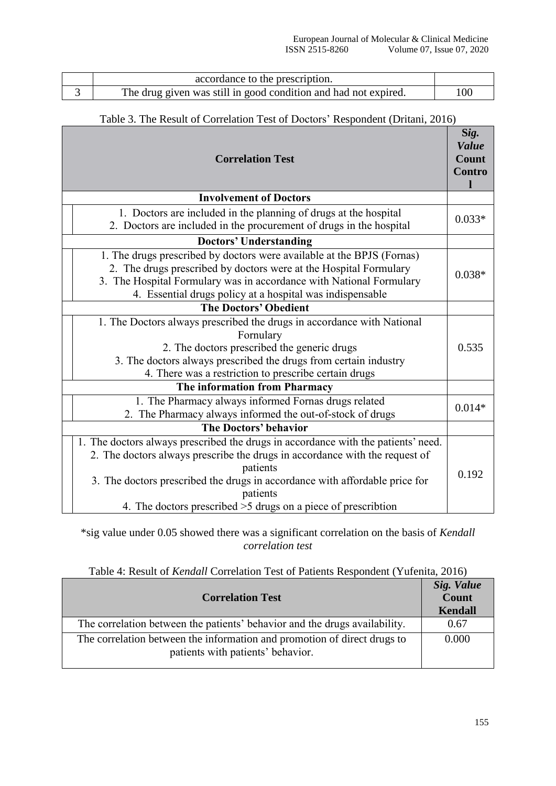| accordance to the prescription.                                 |     |
|-----------------------------------------------------------------|-----|
| The drug given was still in good condition and had not expired. | 100 |

# Table 3. The Result of Correlation Test of Doctors' Respondent (Dritani, 2016)

| <b>Correlation Test</b>                                                                                                                                                                                                                                                                                                                  | Sig.<br><b>Value</b><br><b>Count</b><br><b>Contro</b> |
|------------------------------------------------------------------------------------------------------------------------------------------------------------------------------------------------------------------------------------------------------------------------------------------------------------------------------------------|-------------------------------------------------------|
| <b>Involvement of Doctors</b>                                                                                                                                                                                                                                                                                                            |                                                       |
| 1. Doctors are included in the planning of drugs at the hospital<br>2. Doctors are included in the procurement of drugs in the hospital                                                                                                                                                                                                  | $0.033*$                                              |
| <b>Doctors' Understanding</b>                                                                                                                                                                                                                                                                                                            |                                                       |
| 1. The drugs prescribed by doctors were available at the BPJS (Fornas)<br>2. The drugs prescribed by doctors were at the Hospital Formulary<br>3. The Hospital Formulary was in accordance with National Formulary<br>4. Essential drugs policy at a hospital was indispensable                                                          | $0.038*$                                              |
| <b>The Doctors' Obedient</b>                                                                                                                                                                                                                                                                                                             |                                                       |
| 1. The Doctors always prescribed the drugs in accordance with National<br>Fornulary<br>2. The doctors prescribed the generic drugs<br>3. The doctors always prescribed the drugs from certain industry<br>4. There was a restriction to prescribe certain drugs                                                                          | 0.535                                                 |
| The information from Pharmacy                                                                                                                                                                                                                                                                                                            |                                                       |
| 1. The Pharmacy always informed Fornas drugs related<br>2. The Pharmacy always informed the out-of-stock of drugs                                                                                                                                                                                                                        | $0.014*$                                              |
| The Doctors' behavior                                                                                                                                                                                                                                                                                                                    |                                                       |
| 1. The doctors always prescribed the drugs in accordance with the patients' need.<br>2. The doctors always prescribe the drugs in accordance with the request of<br>patients<br>3. The doctors prescribed the drugs in accordance with affordable price for<br>patients<br>4. The doctors prescribed >5 drugs on a piece of prescribtion | 0.192                                                 |

\*sig value under 0.05 showed there was a significant correlation on the basis of *Kendall correlation test*

| Table 4: Result of Kendall Correlation Test of Patients Respondent (Yufenita, 2016) |  |  |  |
|-------------------------------------------------------------------------------------|--|--|--|
|-------------------------------------------------------------------------------------|--|--|--|

| <b>Correlation Test</b>                                                                                       | Sig. Value<br>Count<br><b>Kendall</b> |
|---------------------------------------------------------------------------------------------------------------|---------------------------------------|
| The correlation between the patients' behavior and the drugs availability.                                    | 0.67                                  |
| The correlation between the information and promotion of direct drugs to<br>patients with patients' behavior. | 0.000                                 |